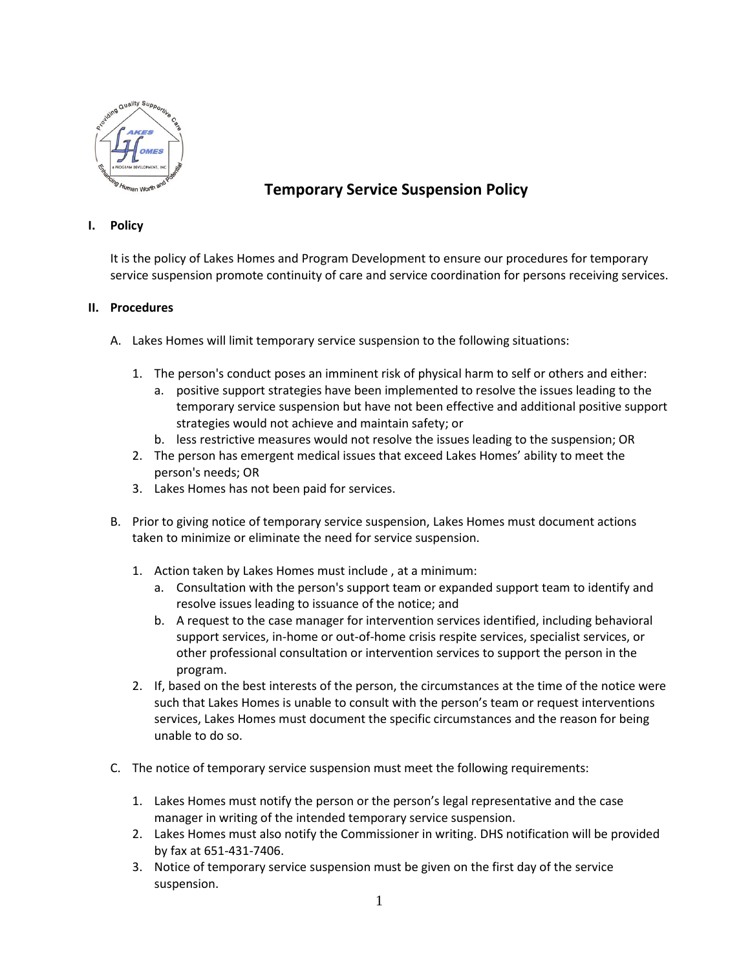

## **Temporary Service Suspension Policy**

## **I. Policy**

It is the policy of Lakes Homes and Program Development to ensure our procedures for temporary service suspension promote continuity of care and service coordination for persons receiving services.

## **II. Procedures**

- A. Lakes Homes will limit temporary service suspension to the following situations:
	- 1. The person's conduct poses an imminent risk of physical harm to self or others and either:
		- a. positive support strategies have been implemented to resolve the issues leading to the temporary service suspension but have not been effective and additional positive support strategies would not achieve and maintain safety; or
		- b. less restrictive measures would not resolve the issues leading to the suspension; OR
	- 2. The person has emergent medical issues that exceed Lakes Homes' ability to meet the person's needs; OR
	- 3. Lakes Homes has not been paid for services.
- B. Prior to giving notice of temporary service suspension, Lakes Homes must document actions taken to minimize or eliminate the need for service suspension.
	- 1. Action taken by Lakes Homes must include , at a minimum:
		- a. Consultation with the person's support team or expanded support team to identify and resolve issues leading to issuance of the notice; and
		- b. A request to the case manager for intervention services identified, including behavioral support services, in-home or out-of-home crisis respite services, specialist services, or other professional consultation or intervention services to support the person in the program.
	- 2. If, based on the best interests of the person, the circumstances at the time of the notice were such that Lakes Homes is unable to consult with the person's team or request interventions services, Lakes Homes must document the specific circumstances and the reason for being unable to do so.
- C. The notice of temporary service suspension must meet the following requirements:
	- 1. Lakes Homes must notify the person or the person's legal representative and the case manager in writing of the intended temporary service suspension.
	- 2. Lakes Homes must also notify the Commissioner in writing. DHS notification will be provided by fax at 651-431-7406.
	- 3. Notice of temporary service suspension must be given on the first day of the service suspension.